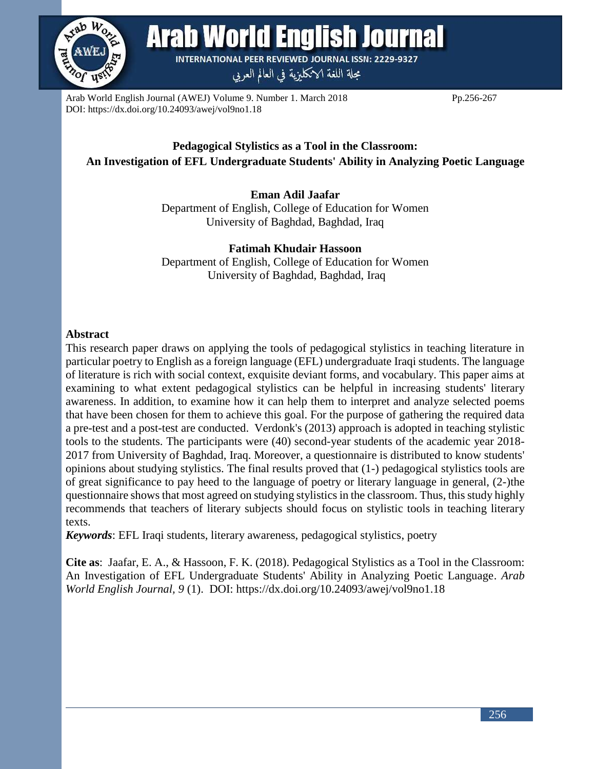

# **Arab World English Journal**

**INTERNATIONAL PEER REVIEWED JOURNAL ISSN: 2229-9327** 

مجلة اللغة الانكليزية في العالم العربي

Arab World English Journal (AWEJ) Volume 9. Number 1. March 2018 Pp.256-267 DOI: https://dx.doi.org/10.24093/awej/vol9no1.18

# **Pedagogical Stylistics as a Tool in the Classroom: An Investigation of EFL Undergraduate Students' Ability in Analyzing Poetic Language**

**Eman Adil Jaafar**

Department of English, College of Education for Women University of Baghdad, Baghdad, Iraq

**Fatimah Khudair Hassoon** Department of English, College of Education for Women University of Baghdad, Baghdad, Iraq

#### **Abstract**

This research paper draws on applying the tools of pedagogical stylistics in teaching literature in particular poetry to English as a foreign language (EFL) undergraduate Iraqi students. The language of literature is rich with social context, exquisite deviant forms, and vocabulary. This paper aims at examining to what extent pedagogical stylistics can be helpful in increasing students' literary awareness. In addition, to examine how it can help them to interpret and analyze selected poems that have been chosen for them to achieve this goal. For the purpose of gathering the required data a pre-test and a post-test are conducted. Verdonk's (2013) approach is adopted in teaching stylistic tools to the students. The participants were (40) second-year students of the academic year 2018- 2017 from University of Baghdad, Iraq. Moreover, a questionnaire is distributed to know students' opinions about studying stylistics. The final results proved that (1-) pedagogical stylistics tools are of great significance to pay heed to the language of poetry or literary language in general, (2-)the questionnaire shows that most agreed on studying stylistics in the classroom. Thus, this study highly recommends that teachers of literary subjects should focus on stylistic tools in teaching literary texts.

*Keywords*: EFL Iraqi students, literary awareness, pedagogical stylistics, poetry

**Cite as**: Jaafar, E. A., & Hassoon, F. K. (2018). Pedagogical Stylistics as a Tool in the Classroom: An Investigation of EFL Undergraduate Students' Ability in Analyzing Poetic Language. *Arab World English Journal, 9* (1). DOI: [https://dx.doi.org/10.24093/awej/vol9no1.](https://dx.doi.org/10.24093/awej/vol9no1)18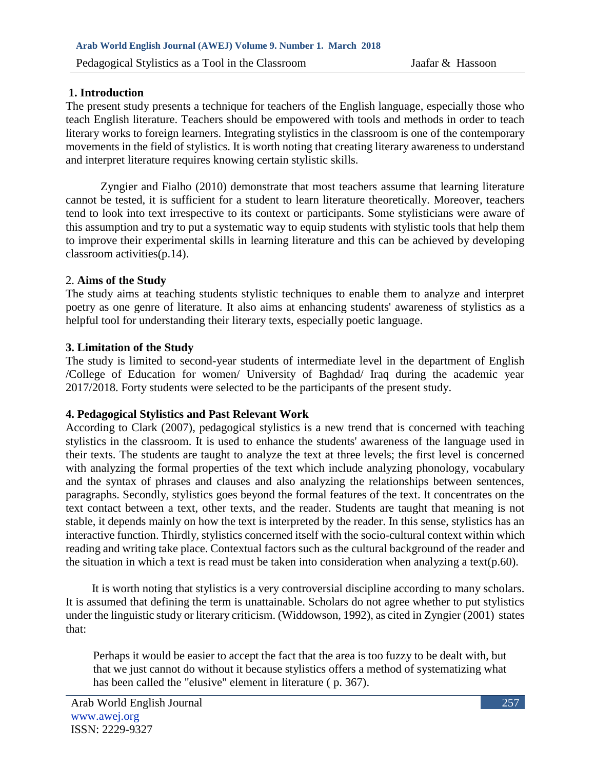## **1. Introduction**

The present study presents a technique for teachers of the English language, especially those who teach English literature. Teachers should be empowered with tools and methods in order to teach literary works to foreign learners. Integrating stylistics in the classroom is one of the contemporary movements in the field of stylistics. It is worth noting that creating literary awareness to understand and interpret literature requires knowing certain stylistic skills.

 Zyngier and Fialho (2010) demonstrate that most teachers assume that learning literature cannot be tested, it is sufficient for a student to learn literature theoretically. Moreover, teachers tend to look into text irrespective to its context or participants. Some stylisticians were aware of this assumption and try to put a systematic way to equip students with stylistic tools that help them to improve their experimental skills in learning literature and this can be achieved by developing classroom activities(p.14).

# 2. **Aims of the Study**

The study aims at teaching students stylistic techniques to enable them to analyze and interpret poetry as one genre of literature. It also aims at enhancing students' awareness of stylistics as a helpful tool for understanding their literary texts, especially poetic language.

# **3. Limitation of the Study**

The study is limited to second-year students of intermediate level in the department of English /College of Education for women/ University of Baghdad/ Iraq during the academic year 2017/2018. Forty students were selected to be the participants of the present study.

### **4. Pedagogical Stylistics and Past Relevant Work**

According to Clark (2007), pedagogical stylistics is a new trend that is concerned with teaching stylistics in the classroom. It is used to enhance the students' awareness of the language used in their texts. The students are taught to analyze the text at three levels; the first level is concerned with analyzing the formal properties of the text which include analyzing phonology, vocabulary and the syntax of phrases and clauses and also analyzing the relationships between sentences, paragraphs. Secondly, stylistics goes beyond the formal features of the text. It concentrates on the text contact between a text, other texts, and the reader. Students are taught that meaning is not stable, it depends mainly on how the text is interpreted by the reader. In this sense, stylistics has an interactive function. Thirdly, stylistics concerned itself with the socio-cultural context within which reading and writing take place. Contextual factors such as the cultural background of the reader and the situation in which a text is read must be taken into consideration when analyzing a text( $p.60$ ).

 It is worth noting that stylistics is a very controversial discipline according to many scholars. It is assumed that defining the term is unattainable. Scholars do not agree whether to put stylistics under the linguistic study or literary criticism. (Widdowson, 1992), as cited in Zyngier (2001) states that:

Perhaps it would be easier to accept the fact that the area is too fuzzy to be dealt with, but that we just cannot do without it because stylistics offers a method of systematizing what has been called the "elusive" element in literature ( p. 367).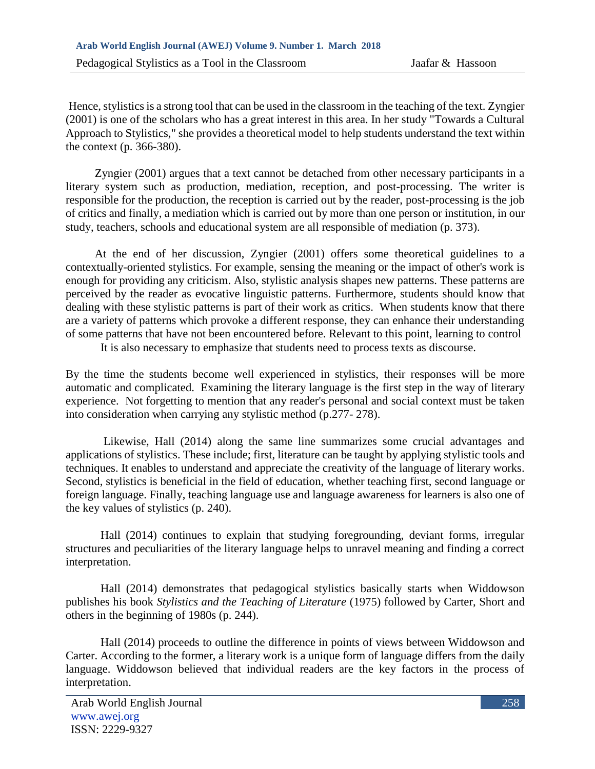Hence, stylistics is a strong tool that can be used in the classroom in the teaching of the text. Zyngier (2001) is one of the scholars who has a great interest in this area. In her study "Towards a Cultural Approach to Stylistics," she provides a theoretical model to help students understand the text within the context (p. 366-380).

 Zyngier (2001) argues that a text cannot be detached from other necessary participants in a literary system such as production, mediation, reception, and post-processing. The writer is responsible for the production, the reception is carried out by the reader, post-processing is the job of critics and finally, a mediation which is carried out by more than one person or institution, in our study, teachers, schools and educational system are all responsible of mediation (p. 373).

 At the end of her discussion, Zyngier (2001) offers some theoretical guidelines to a contextually-oriented stylistics. For example, sensing the meaning or the impact of other's work is enough for providing any criticism. Also, stylistic analysis shapes new patterns. These patterns are perceived by the reader as evocative linguistic patterns. Furthermore, students should know that dealing with these stylistic patterns is part of their work as critics. When students know that there are a variety of patterns which provoke a different response, they can enhance their understanding of some patterns that have not been encountered before. Relevant to this point, learning to control

It is also necessary to emphasize that students need to process texts as discourse.

By the time the students become well experienced in stylistics, their responses will be more automatic and complicated. Examining the literary language is the first step in the way of literary experience. Not forgetting to mention that any reader's personal and social context must be taken into consideration when carrying any stylistic method (p.277- 278).

 Likewise, Hall (2014) along the same line summarizes some crucial advantages and applications of stylistics. These include; first, literature can be taught by applying stylistic tools and techniques. It enables to understand and appreciate the creativity of the language of literary works. Second, stylistics is beneficial in the field of education, whether teaching first, second language or foreign language. Finally, teaching language use and language awareness for learners is also one of the key values of stylistics (p. 240).

 Hall (2014) continues to explain that studying foregrounding, deviant forms, irregular structures and peculiarities of the literary language helps to unravel meaning and finding a correct interpretation.

 Hall (2014) demonstrates that pedagogical stylistics basically starts when Widdowson publishes his book *Stylistics and the Teaching of Literature* (1975) followed by Carter, Short and others in the beginning of 1980s (p. 244).

 Hall (2014) proceeds to outline the difference in points of views between Widdowson and Carter. According to the former, a literary work is a unique form of language differs from the daily language. Widdowson believed that individual readers are the key factors in the process of interpretation.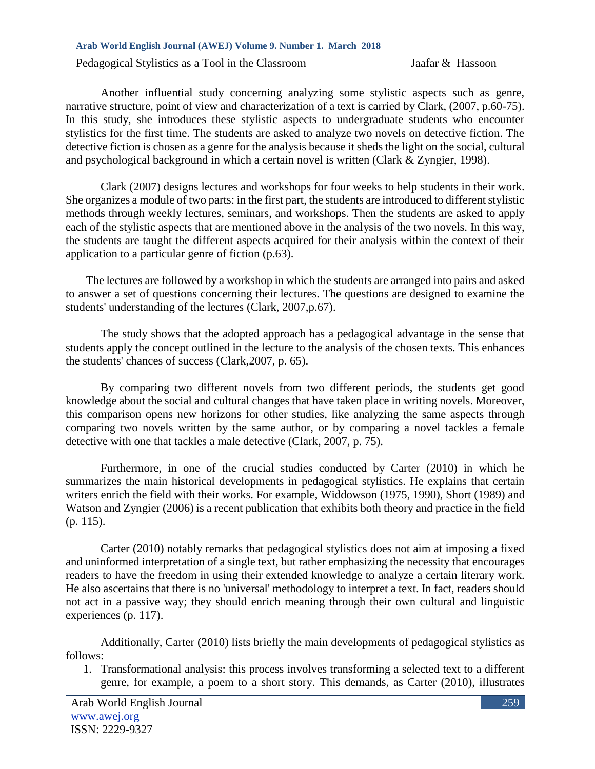Another influential study concerning analyzing some stylistic aspects such as genre, narrative structure, point of view and characterization of a text is carried by Clark, (2007, p.60-75). In this study, she introduces these stylistic aspects to undergraduate students who encounter stylistics for the first time. The students are asked to analyze two novels on detective fiction. The detective fiction is chosen as a genre for the analysis because it sheds the light on the social, cultural and psychological background in which a certain novel is written (Clark & Zyngier, 1998).

 Clark (2007) designs lectures and workshops for four weeks to help students in their work. She organizes a module of two parts: in the first part, the students are introduced to different stylistic methods through weekly lectures, seminars, and workshops. Then the students are asked to apply each of the stylistic aspects that are mentioned above in the analysis of the two novels. In this way, the students are taught the different aspects acquired for their analysis within the context of their application to a particular genre of fiction (p.63).

 The lectures are followed by a workshop in which the students are arranged into pairs and asked to answer a set of questions concerning their lectures. The questions are designed to examine the students' understanding of the lectures (Clark, 2007,p.67).

 The study shows that the adopted approach has a pedagogical advantage in the sense that students apply the concept outlined in the lecture to the analysis of the chosen texts. This enhances the students' chances of success (Clark,2007, p. 65).

 By comparing two different novels from two different periods, the students get good knowledge about the social and cultural changes that have taken place in writing novels. Moreover, this comparison opens new horizons for other studies, like analyzing the same aspects through comparing two novels written by the same author, or by comparing a novel tackles a female detective with one that tackles a male detective (Clark, 2007, p. 75).

 Furthermore, in one of the crucial studies conducted by Carter (2010) in which he summarizes the main historical developments in pedagogical stylistics. He explains that certain writers enrich the field with their works. For example, Widdowson (1975, 1990), Short (1989) and Watson and Zyngier (2006) is a recent publication that exhibits both theory and practice in the field (p. 115).

 Carter (2010) notably remarks that pedagogical stylistics does not aim at imposing a fixed and uninformed interpretation of a single text, but rather emphasizing the necessity that encourages readers to have the freedom in using their extended knowledge to analyze a certain literary work. He also ascertains that there is no 'universal' methodology to interpret a text. In fact, readers should not act in a passive way; they should enrich meaning through their own cultural and linguistic experiences (p. 117).

Additionally, Carter (2010) lists briefly the main developments of pedagogical stylistics as follows:

1. Transformational analysis: this process involves transforming a selected text to a different genre, for example, a poem to a short story. This demands, as Carter (2010), illustrates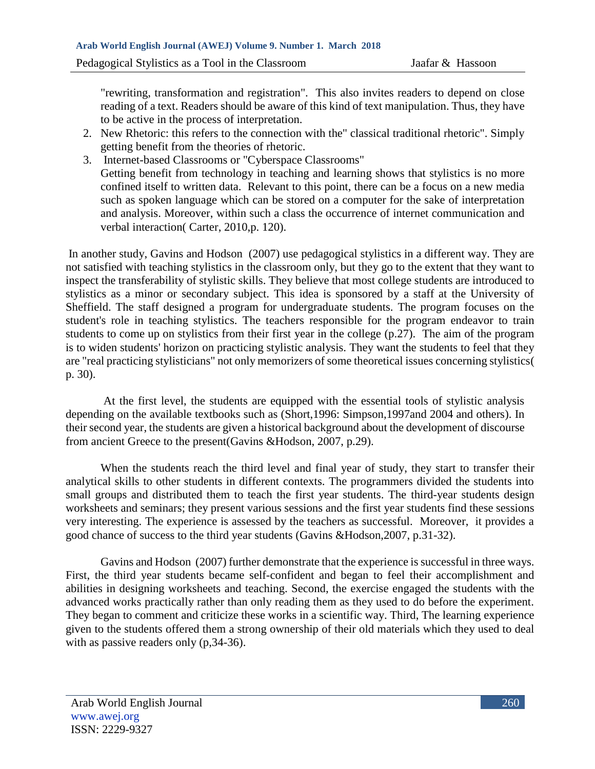Pedagogical Stylistics as a Tool in the Classroom Jaafar & Hassoon

"rewriting, transformation and registration". This also invites readers to depend on close reading of a text. Readers should be aware of this kind of text manipulation. Thus, they have to be active in the process of interpretation.

- 2. New Rhetoric: this refers to the connection with the" classical traditional rhetoric". Simply getting benefit from the theories of rhetoric.
- 3. Internet-based Classrooms or "Cyberspace Classrooms" Getting benefit from technology in teaching and learning shows that stylistics is no more confined itself to written data. Relevant to this point, there can be a focus on a new media such as spoken language which can be stored on a computer for the sake of interpretation and analysis. Moreover, within such a class the occurrence of internet communication and verbal interaction( Carter, 2010,p. 120).

In another study, Gavins and Hodson (2007) use pedagogical stylistics in a different way. They are not satisfied with teaching stylistics in the classroom only, but they go to the extent that they want to inspect the transferability of stylistic skills. They believe that most college students are introduced to stylistics as a minor or secondary subject. This idea is sponsored by a staff at the University of Sheffield. The staff designed a program for undergraduate students. The program focuses on the student's role in teaching stylistics. The teachers responsible for the program endeavor to train students to come up on stylistics from their first year in the college (p.27). The aim of the program is to widen students' horizon on practicing stylistic analysis. They want the students to feel that they are "real practicing stylisticians" not only memorizers of some theoretical issues concerning stylistics( p. 30).

 At the first level, the students are equipped with the essential tools of stylistic analysis depending on the available textbooks such as (Short,1996: Simpson,1997and 2004 and others). In their second year, the students are given a historical background about the development of discourse from ancient Greece to the present(Gavins &Hodson, 2007, p.29).

 When the students reach the third level and final year of study, they start to transfer their analytical skills to other students in different contexts. The programmers divided the students into small groups and distributed them to teach the first year students. The third-year students design worksheets and seminars; they present various sessions and the first year students find these sessions very interesting. The experience is assessed by the teachers as successful. Moreover, it provides a good chance of success to the third year students (Gavins &Hodson,2007, p.31-32).

Gavins and Hodson (2007) further demonstrate that the experience is successful in three ways. First, the third year students became self-confident and began to feel their accomplishment and abilities in designing worksheets and teaching. Second, the exercise engaged the students with the advanced works practically rather than only reading them as they used to do before the experiment. They began to comment and criticize these works in a scientific way. Third, The learning experience given to the students offered them a strong ownership of their old materials which they used to deal with as passive readers only (p, 34-36).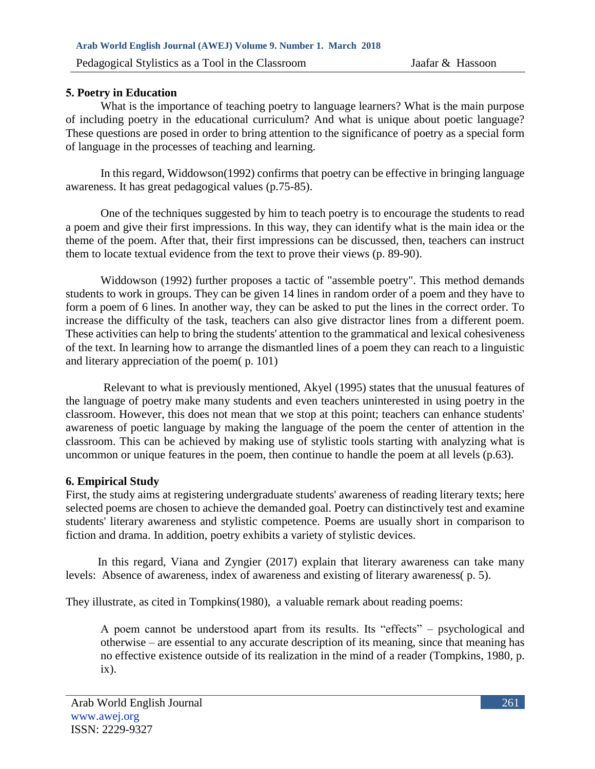# **5. Poetry in Education**

What is the importance of teaching poetry to language learners? What is the main purpose of including poetry in the educational curriculum? And what is unique about poetic language? These questions are posed in order to bring attention to the significance of poetry as a special form of language in the processes of teaching and learning.

 In this regard, Widdowson(1992) confirms that poetry can be effective in bringing language awareness. It has great pedagogical values (p.75-85).

 One of the techniques suggested by him to teach poetry is to encourage the students to read a poem and give their first impressions. In this way, they can identify what is the main idea or the theme of the poem. After that, their first impressions can be discussed, then, teachers can instruct them to locate textual evidence from the text to prove their views (p. 89-90).

 Widdowson (1992) further proposes a tactic of "assemble poetry". This method demands students to work in groups. They can be given 14 lines in random order of a poem and they have to form a poem of 6 lines. In another way, they can be asked to put the lines in the correct order. To increase the difficulty of the task, teachers can also give distractor lines from a different poem. These activities can help to bring the students' attention to the grammatical and lexical cohesiveness of the text. In learning how to arrange the dismantled lines of a poem they can reach to a linguistic and literary appreciation of the poem( p. 101)

 Relevant to what is previously mentioned, Akyel (1995) states that the unusual features of the language of poetry make many students and even teachers uninterested in using poetry in the classroom. However, this does not mean that we stop at this point; teachers can enhance students' awareness of poetic language by making the language of the poem the center of attention in the classroom. This can be achieved by making use of stylistic tools starting with analyzing what is uncommon or unique features in the poem, then continue to handle the poem at all levels (p.63).

# **6. Empirical Study**

First, the study aims at registering undergraduate students' awareness of reading literary texts; here selected poems are chosen to achieve the demanded goal. Poetry can distinctively test and examine students' literary awareness and stylistic competence. Poems are usually short in comparison to fiction and drama. In addition, poetry exhibits a variety of stylistic devices.

 In this regard, Viana and Zyngier (2017) explain that literary awareness can take many levels: Absence of awareness, index of awareness and existing of literary awareness( p. 5).

They illustrate, as cited in Tompkins(1980), a valuable remark about reading poems:

A poem cannot be understood apart from its results. Its "effects" – psychological and otherwise – are essential to any accurate description of its meaning, since that meaning has no effective existence outside of its realization in the mind of a reader (Tompkins, 1980, p.  $\mathbf{i}(\mathbf{x})$ .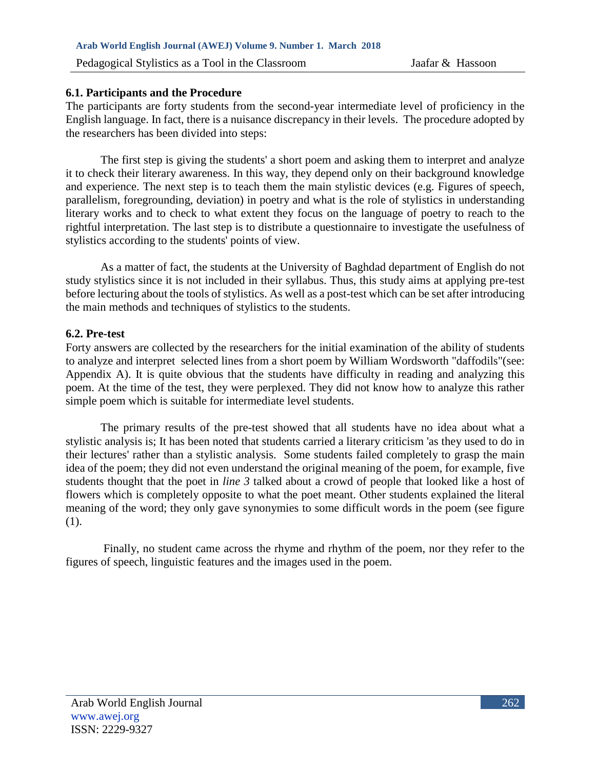# **6.1. Participants and the Procedure**

The participants are forty students from the second-year intermediate level of proficiency in the English language. In fact, there is a nuisance discrepancy in their levels. The procedure adopted by the researchers has been divided into steps:

 The first step is giving the students' a short poem and asking them to interpret and analyze it to check their literary awareness. In this way, they depend only on their background knowledge and experience. The next step is to teach them the main stylistic devices (e.g. Figures of speech, parallelism, foregrounding, deviation) in poetry and what is the role of stylistics in understanding literary works and to check to what extent they focus on the language of poetry to reach to the rightful interpretation. The last step is to distribute a questionnaire to investigate the usefulness of stylistics according to the students' points of view.

 As a matter of fact, the students at the University of Baghdad department of English do not study stylistics since it is not included in their syllabus. Thus, this study aims at applying pre-test before lecturing about the tools of stylistics. As well as a post-test which can be set after introducing the main methods and techniques of stylistics to the students.

# **6.2. Pre-test**

Forty answers are collected by the researchers for the initial examination of the ability of students to analyze and interpret selected lines from a short poem by William Wordsworth "daffodils"(see: Appendix A). It is quite obvious that the students have difficulty in reading and analyzing this poem. At the time of the test, they were perplexed. They did not know how to analyze this rather simple poem which is suitable for intermediate level students.

 The primary results of the pre-test showed that all students have no idea about what a stylistic analysis is; It has been noted that students carried a literary criticism 'as they used to do in their lectures' rather than a stylistic analysis. Some students failed completely to grasp the main idea of the poem; they did not even understand the original meaning of the poem, for example, five students thought that the poet in *line 3* talked about a crowd of people that looked like a host of flowers which is completely opposite to what the poet meant. Other students explained the literal meaning of the word; they only gave synonymies to some difficult words in the poem (see figure (1).

 Finally, no student came across the rhyme and rhythm of the poem, nor they refer to the figures of speech, linguistic features and the images used in the poem.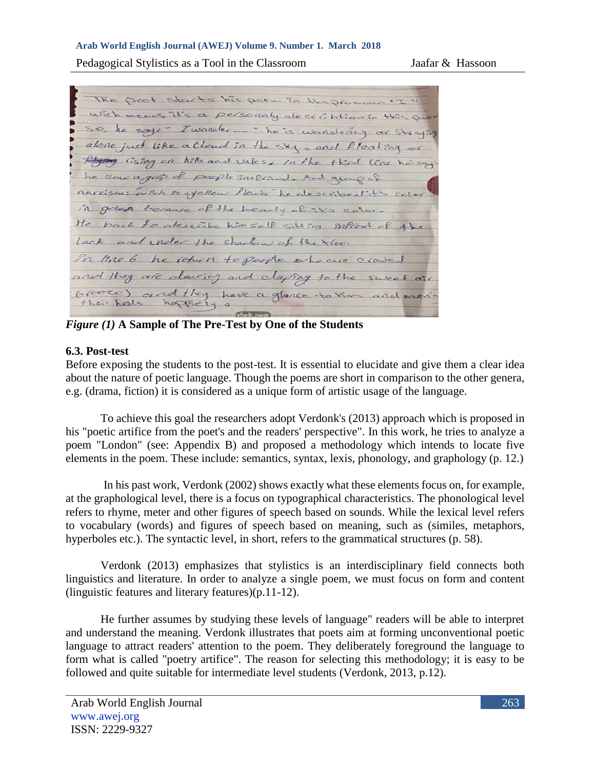#### **Arab World English Journal (AWEJ) Volume 9. Number 1. March 2018**

Pedagogical Stylistics as a Tool in the Classroom Jaafar & Hassoon

The poet starts his poem in the pronoun . I with means it's a personaly ale seri biom in this por So, he says" I wander ... " he is wanaleding or Straining abre just like a cloud in the sky, and Pleating or Atype cising on hite and vales, in the third line her said he saw a grip of people inelland. And glavest narcissus witch is excitow flower he described it's color in golen because of the beauty of it's color. He back to describe him self sitting inflant of the lack and under the shedow of the blee. In the 6 he return to people who are crowed and they are develop and claping to the sweet are breeze) and they have a glance to kim and maxing

*Figure (1)* **A Sample of The Pre-Test by One of the Students** 

# **6.3. Post-test**

Before exposing the students to the post-test. It is essential to elucidate and give them a clear idea about the nature of poetic language. Though the poems are short in comparison to the other genera, e.g. (drama, fiction) it is considered as a unique form of artistic usage of the language.

 To achieve this goal the researchers adopt Verdonk's (2013) approach which is proposed in his "poetic artifice from the poet's and the readers' perspective". In this work, he tries to analyze a poem "London" (see: Appendix B) and proposed a methodology which intends to locate five elements in the poem. These include: semantics, syntax, lexis, phonology, and graphology (p. 12.)

 In his past work, Verdonk (2002) shows exactly what these elements focus on, for example, at the graphological level, there is a focus on typographical characteristics. The phonological level refers to rhyme, meter and other figures of speech based on sounds. While the lexical level refers to vocabulary (words) and figures of speech based on meaning, such as (similes, metaphors, hyperboles etc.). The syntactic level, in short, refers to the grammatical structures (p. 58).

 Verdonk (2013) emphasizes that stylistics is an interdisciplinary field connects both linguistics and literature. In order to analyze a single poem, we must focus on form and content (linguistic features and literary features)(p.11-12).

 He further assumes by studying these levels of language" readers will be able to interpret and understand the meaning. Verdonk illustrates that poets aim at forming unconventional poetic language to attract readers' attention to the poem. They deliberately foreground the language to form what is called "poetry artifice". The reason for selecting this methodology; it is easy to be followed and quite suitable for intermediate level students (Verdonk, 2013, p.12).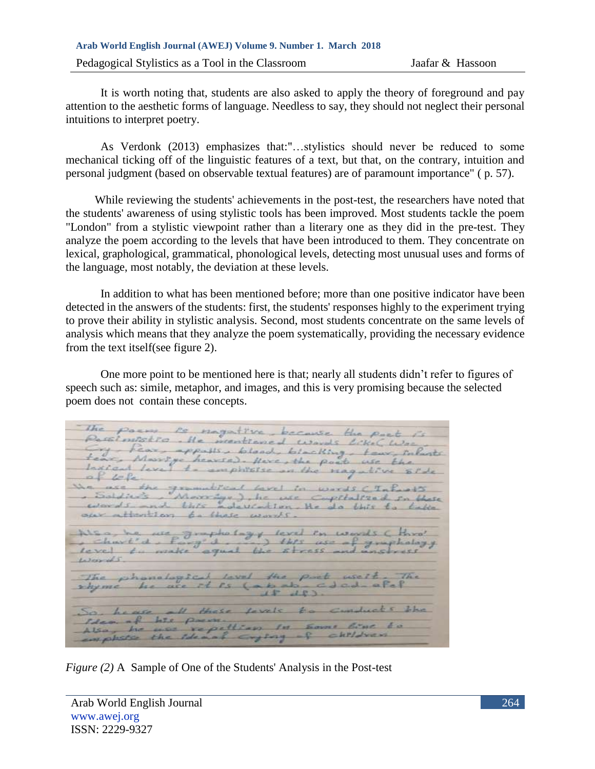It is worth noting that, students are also asked to apply the theory of foreground and pay attention to the aesthetic forms of language. Needless to say, they should not neglect their personal intuitions to interpret poetry.

As Verdonk (2013) emphasizes that:"…stylistics should never be reduced to some mechanical ticking off of the linguistic features of a text, but that, on the contrary, intuition and personal judgment (based on observable textual features) are of paramount importance" ( p. 57).

 While reviewing the students' achievements in the post-test, the researchers have noted that the students' awareness of using stylistic tools has been improved. Most students tackle the poem "London" from a stylistic viewpoint rather than a literary one as they did in the pre-test. They analyze the poem according to the levels that have been introduced to them. They concentrate on lexical, graphological, grammatical, phonological levels, detecting most unusual uses and forms of the language, most notably, the deviation at these levels.

 In addition to what has been mentioned before; more than one positive indicator have been detected in the answers of the students: first, the students' responses highly to the experiment trying to prove their ability in stylistic analysis. Second, most students concentrate on the same levels of analysis which means that they analyze the poem systematically, providing the necessary evidence from the text itself(see figure 2).

 One more point to be mentioned here is that; nearly all students didn't refer to figures of speech such as: simile, metaphor, and images, and this is very promising because the selected poem does not contain these concepts.

The poem to magnitive because the post is Paralmenters . He mentioned would like the first  $ofLf$ . We are the groundfund foret in words (Talents ).<br>Soldier's Morrigo), he use capitalized in these<br>words and this adeviation. He do this to take We have use I would logy level in words ( Haro'<br>chart'd Ford'd use of this use of ymphology wards. The phonological level the poet weit. The styme he are it is capable adad-afol-So, he are all these favore to conducts the Idea of he pour. Also all his premiulian in some first to

*Figure (2)* A Sample of One of the Students' Analysis in the Post-test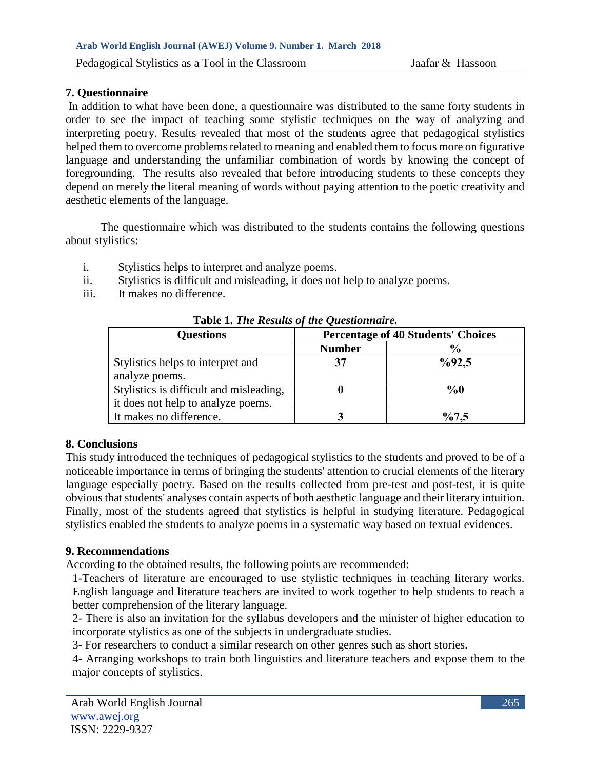Pedagogical Stylistics as a Tool in the Classroom Jaafar & Hassoon

## **7. Questionnaire**

In addition to what have been done, a questionnaire was distributed to the same forty students in order to see the impact of teaching some stylistic techniques on the way of analyzing and interpreting poetry. Results revealed that most of the students agree that pedagogical stylistics helped them to overcome problems related to meaning and enabled them to focus more on figurative language and understanding the unfamiliar combination of words by knowing the concept of foregrounding. The results also revealed that before introducing students to these concepts they depend on merely the literal meaning of words without paying attention to the poetic creativity and aesthetic elements of the language.

 The questionnaire which was distributed to the students contains the following questions about stylistics:

- i. Stylistics helps to interpret and analyze poems.
- ii. Stylistics is difficult and misleading, it does not help to analyze poems.
- iii. It makes no difference.

| Table 1. The Results of the Questionnan c. |                                           |               |
|--------------------------------------------|-------------------------------------------|---------------|
| <b>Questions</b>                           | <b>Percentage of 40 Students' Choices</b> |               |
|                                            | <b>Number</b>                             | $\frac{0}{0}$ |
| Stylistics helps to interpret and          | 37                                        | %92,5         |
| analyze poems.                             |                                           |               |
| Stylistics is difficult and misleading,    |                                           | $\%0$         |
| it does not help to analyze poems.         |                                           |               |
| It makes no difference.                    |                                           | $\%7,5$       |

**Table 1.** *The Results of the Questionnaire.*

# **8. Conclusions**

 This study introduced the techniques of pedagogical stylistics to the students and proved to be of a noticeable importance in terms of bringing the students' attention to crucial elements of the literary language especially poetry. Based on the results collected from pre-test and post-test, it is quite obvious that students' analyses contain aspects of both aesthetic language and their literary intuition. Finally, most of the students agreed that stylistics is helpful in studying literature. Pedagogical stylistics enabled the students to analyze poems in a systematic way based on textual evidences.

# **9. Recommendations**

According to the obtained results, the following points are recommended:

1-Teachers of literature are encouraged to use stylistic techniques in teaching literary works. English language and literature teachers are invited to work together to help students to reach a better comprehension of the literary language.

2- There is also an invitation for the syllabus developers and the minister of higher education to incorporate stylistics as one of the subjects in undergraduate studies.

3- For researchers to conduct a similar research on other genres such as short stories.

4- Arranging workshops to train both linguistics and literature teachers and expose them to the major concepts of stylistics.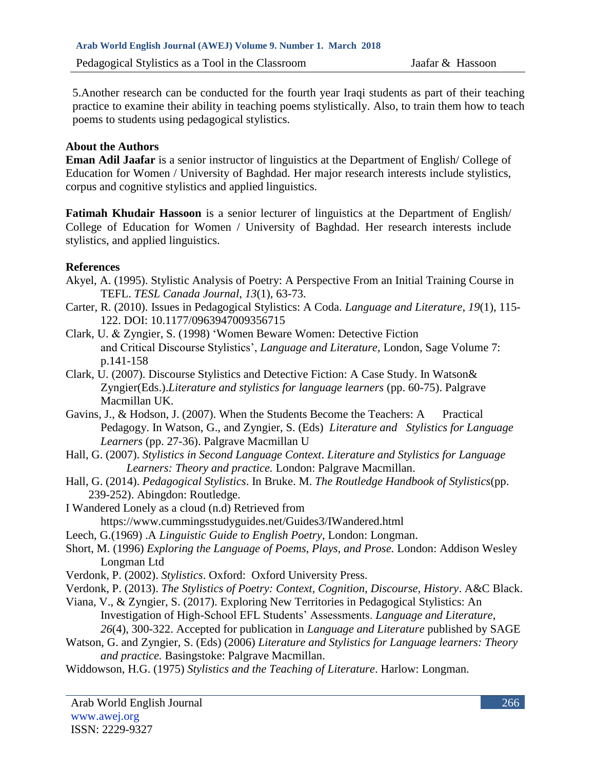5.Another research can be conducted for the fourth year Iraqi students as part of their teaching practice to examine their ability in teaching poems stylistically. Also, to train them how to teach poems to students using pedagogical stylistics.

#### **About the Authors**

**Eman Adil Jaafar** is a senior instructor of linguistics at the Department of English/ College of Education for Women / University of Baghdad. Her major research interests include stylistics, corpus and cognitive stylistics and applied linguistics.

**Fatimah Khudair Hassoon** is a senior lecturer of linguistics at the Department of English/ College of Education for Women / University of Baghdad. Her research interests include stylistics, and applied linguistics.

#### **References**

- Akyel, A. (1995). Stylistic Analysis of Poetry: A Perspective From an Initial Training Course in TEFL. *TESL Canada Journal*, *13*(1), 63-73.
- Carter, R. (2010). Issues in Pedagogical Stylistics: A Coda. *Language and Literature*, *19*(1), 115- 122. DOI: 10.1177/0963947009356715
- Clark, U. & Zyngier, S. (1998) 'Women Beware Women: Detective Fiction and Critical Discourse Stylistics', *Language and Literature,* London, Sage Volume 7: p.141-158
- Clark, U. (2007). Discourse Stylistics and Detective Fiction: A Case Study. In Watson& [Zyngier\(](http://en.bookfi.net/g/%20Sonia%20Zyngier)Eds.).*Literature and stylistics for language learners* (pp. 60-75). Palgrave Macmillan UK.
- Gavins, J., & Hodson, J. (2007). When the Students Become the Teachers: A Practical Pedagogy. In Watson, G., and Zyngier, S. (Eds) *Literature and Stylistics for Language Learners* (pp. 27-36). Palgrave Macmillan U
- Hall, G. (2007). *Stylistics in Second Language Context*. *Literature and Stylistics for Language Learners: Theory and practice.* London: Palgrave Macmillan.
- Hall, G. (2014). *Pedagogical Stylistics*. In Bruke. M. *The Routledge Handbook of Stylistics*(pp. 239-252). Abingdon: Routledge.
- I Wandered Lonely as a cloud (n.d) Retrieved from https://www.cummingsstudyguides.net/Guides3/IWandered.html
- Leech, G.(1969) .A *Linguistic Guide to English Poetry*, London: Longman.
- Short, M. (1996) *Exploring the Language of Poems, Plays, and Prose.* London: Addison Wesley Longman Ltd
- Verdonk, P. (2002). *Stylistics*. Oxford: Oxford University Press.
- Verdonk, P. (2013). *The Stylistics of Poetry: Context, Cognition, Discourse, History*. A&C Black.
- Viana, V., & Zyngier, S. (2017). Exploring New Territories in Pedagogical Stylistics: An Investigation of High-School EFL Students' Assessments. *Language and Literature*, *26*(4), 300-322. Accepted for publication in *Language and Literature* published by SAGE
- Watson, G. and Zyngier, S. (Eds) (2006) *Literature and Stylistics for Language learners: Theory and practice.* Basingstoke: Palgrave Macmillan.
- Widdowson, H.G. (1975) *Stylistics and the Teaching of Literature*. Harlow: Longman.